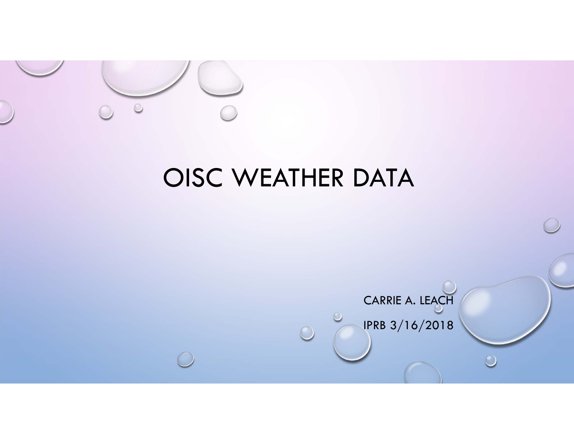

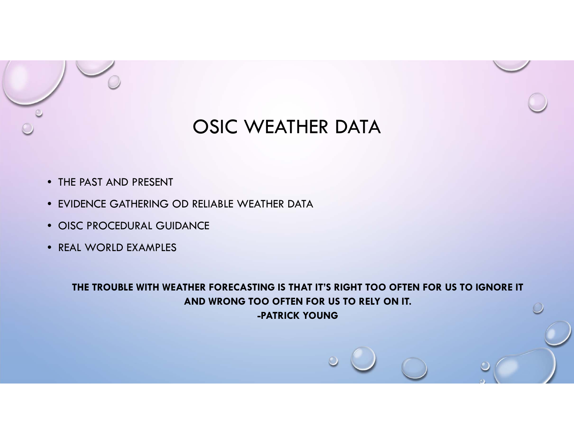

- THE PAST AND PRESENT
- EVIDENCE GATHERING OD RELIABLE WEATHER DATA
- OISC PROCEDURAL GUIDANCE
- REAL WORLD EXAMPLES

**THE TROUBLE WITH WEATHER FORECASTING IS THAT IT'S RIGHT TOO OFTEN FOR US TO IGNORE IT AND WRONG TOO OFTEN FOR US TO RELY ON IT.-PATRICK YOUNG**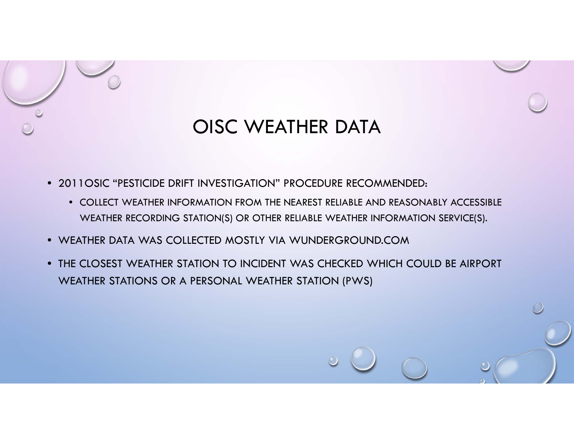

- 2011OSIC "PESTICIDE DRIFT INVESTIGATION" PROCEDURE RECOMMENDED:
	- COLLECT WEATHER INFORMATION FROM THE NEAREST RELIABLE AND REASONABLY ACCESSIBLE WEATHER RECORDING STATION(S) OR OTHER RELIABLE WEATHER INFORMATION SERVICE(S).
- WEATHER DATA WAS COLLECTED MOSTLY VIA WUNDERGROUND.COM
- THE CLOSEST WEATHER STATION TO INCIDENT WAS CHECKED WHICH COULD BE AIRPORT WEATHER STATIONS OR A PERSONAL WEATHER STATION (PWS)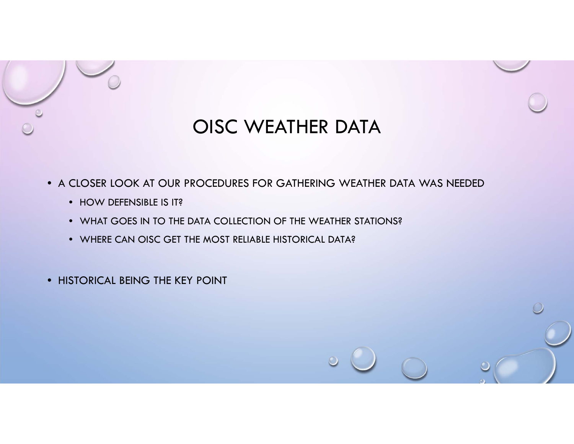

• A CLOSER LOOK AT OUR PROCEDURES FOR GATHERING WEATHER DATA WAS NEEDED

- HOW DEFENSIBLE IS IT?
- WHAT GOES IN TO THE DATA COLLECTION OF THE WEATHER STATIONS?
- WHERE CAN OISC GET THE MOST RELIABLE HISTORICAL DATA?

• HISTORICAL BEING THE KEY POINT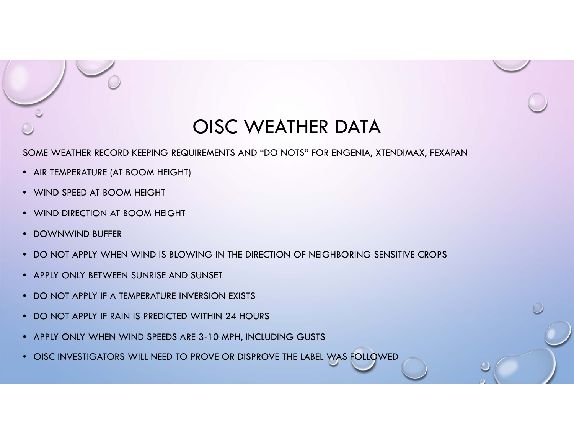SOME WEATHER RECORD KEEPING REQUIREMENTS AND "DO NOTS" FOR ENGENIA, XTENDIMAX, FEXAPAN

- AIR TEMPERATURE (AT BOOM HEIGHT)
- WIND SPEED AT BOOM HEIGHT
- WIND DIRECTION AT BOOM HEIGHT
- DOWNWIND BUFFER
- DO NOT APPLY WHEN WIND IS BLOWING IN THE DIRECTION OF NEIGHBORING SENSITIVE CROPS
- APPLY ONLY BETWEEN SUNRISE AND SUNSET
- DO NOT APPLY IF A TEMPERATURE INVERSION EXISTS
- DO NOT APPLY IF RAIN IS PREDICTED WITHIN 24 HOURS
- APPLY ONLY WHEN WIND SPEEDS ARE 3-10 MPH, INCLUDING GUSTS
- OISC INVESTIGATORS WILL NEED TO PROVE OR DISPROVE THE LABEL WAS FOLLOWED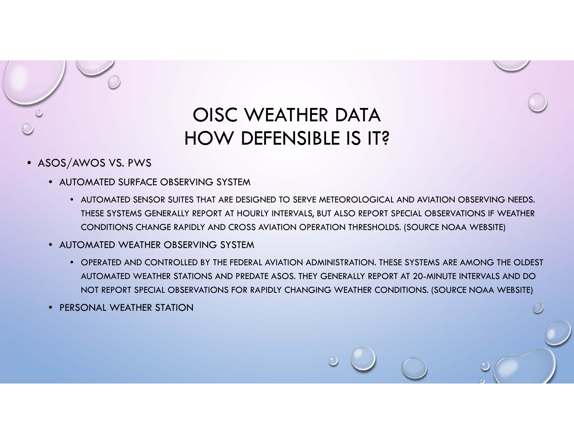

# OISC WEATHER DATAHOW DEFENSIBLE IS IT?

- $\bullet$  ASOS/AWOS VS. PWS
	- AUTOMATED SURFACE OBSERVING SYSTEM
		- AUTOMATED SENSOR SUITES THAT ARE DESIGNED TO SERVE METEOROLOGICAL AND AVIATION OBSERVING NEEDS. THESE SYSTEMS GENERALLY REPORT AT HOURLY INTERVALS, BUT ALSO REPORT SPECIAL OBSERVATIONS IF WEATHER CONDITIONS CHANGE RAPIDLY AND CROSS AVIATION OPERATION THRESHOLDS. (SOURCE NOAA WEBSITE)
	- AUTOMATED WEATHER OBSERVING SYSTEM
		- OPERATED AND CONTROLLED BY THE FEDERAL AVIATION ADMINISTRATION. THESE SYSTEMS ARE AMONG THE OLDEST AUTOMATED WEATHER STATIONS AND PREDATE ASOS. THEY GENERALLY REPORT AT 20-MINUTE INTERVALS AND DO NOT REPORT SPECIAL OBSERVATIONS FOR RAPIDLY CHANGING WEATHER CONDITIONS. (SOURCE NOAA WEBSITE)
	- PERSONAL WEATHER STATION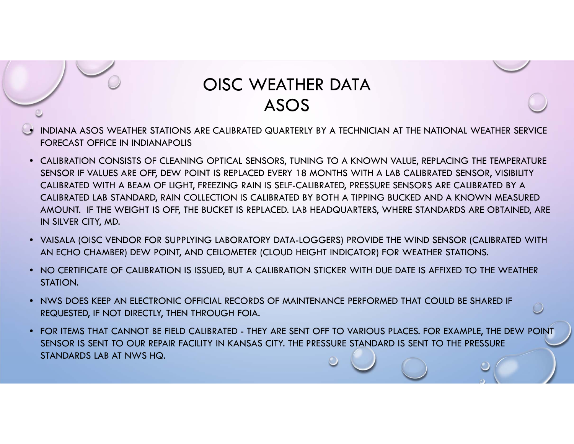### OISC WEATHER DATAASOS

- • INDIANA ASOS WEATHER STATIONS ARE CALIBRATED QUARTERLY BY A TECHNICIAN AT THE NATIONAL WEATHER SERVICE FORECAST OFFICE IN INDIANAPOLIS
- CALIBRATION CONSISTS OF CLEANING OPTICAL SENSORS, TUNING TO A KNOWN VALUE, REPLACING THE TEMPERATURE SENSOR IF VALUES ARE OFF, DEW POINT IS REPLACED EVERY 18 MONTHS WITH A LAB CALIBRATED SENSOR, VISIBILITY CALIBRATED WITH A BEAM OF LIGHT, FREEZING RAIN IS SELF-CALIBRATED, PRESSURE SENSORS ARE CALIBRATED BY A CALIBRATED LAB STANDARD, RAIN COLLECTION IS CALIBRATED BY BOTH A TIPPING BUCKED AND A KNOWN MEASURED AMOUNT. IF THE WEIGHT IS OFF, THE BUCKET IS REPLACED. LAB HEADQUARTERS, WHERE STANDARDS ARE OBTAINED, ARE IN SILVER CITY, MD.
- VAISALA (OISC VENDOR FOR SUPPLYING LABORATORY DATA-LOGGERS) PROVIDE THE WIND SENSOR (CALIBRATED WITH AN ECHO CHAMBER) DEW POINT, AND CEILOMETER (CLOUD HEIGHT INDICATOR) FOR WEATHER STATIONS.
- NO CERTIFICATE OF CALIBRATION IS ISSUED, BUT A CALIBRATION STICKER WITH DUE DATE IS AFFIXED TO THE WEATHER STATION.
- NWS DOES KEEP AN ELECTRONIC OFFICIAL RECORDS OF MAINTENANCE PERFORMED THAT COULD BE SHARED IF REQUESTED, IF NOT DIRECTLY, THEN THROUGH FOIA.
- FOR ITEMS THAT CANNOT BE FIELD CALIBRATED THEY ARE SENT OFF TO VARIOUS PLACES. FOR EXAMPLE, THE DEW POINT SENSOR IS SENT TO OUR REPAIR FACILITY IN KANSAS CITY. THE PRESSURE STANDARD IS SENT TO THE PRESSURE STANDARDS LAB AT NWS HQ.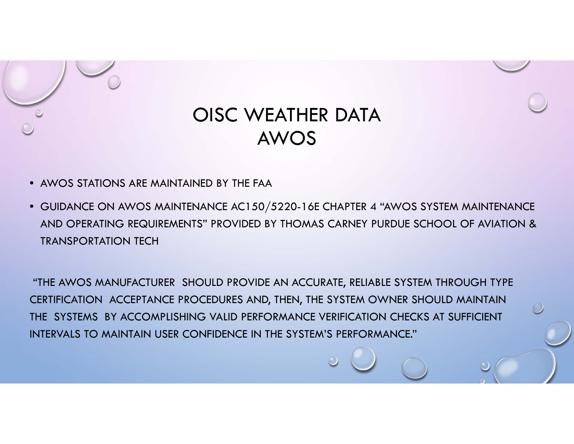

### OISC WEATHER DATAAWOS

- AWOS STATIONS ARE MAINTAINED BY THE FAA
- GUIDANCE ON AWOS MAINTENANCE AC150/5220-16E CHAPTER 4 "AWOS SYSTEM MAINTENANCE AND OPERATING REQUIREMENTS" PROVIDED BY THOMAS CARNEY PURDUE SCHOOL OF AVIATION & TRANSPORTATION TECH

"THE AWOS MANUFACTURER SHOULD PROVIDE AN ACCURATE, RELIABLE SYSTEM THROUGH TYPE CERTIFICATION ACCEPTANCE PROCEDURES AND, THEN, THE SYSTEM OWNER SHOULD MAINTAIN THE SYSTEMS BY ACCOMPLISHING VALID PERFORMANCE VERIFICATION CHECKS AT SUFFICIENT INTERVALS TO MAINTAIN USER CONFIDENCE IN THE SYSTEM'S PERFORMANCE."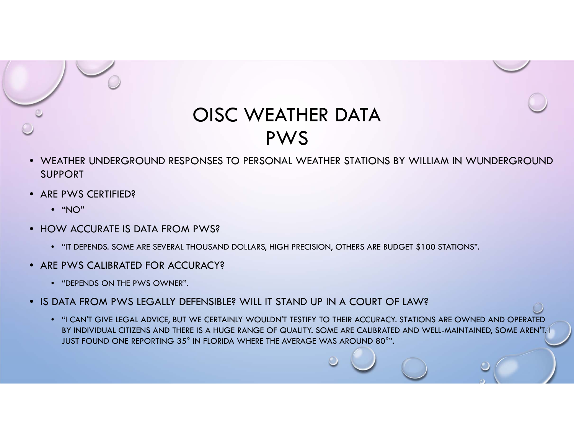

- WEATHER UNDERGROUND RESPONSES TO PERSONAL WEATHER STATIONS BY WILLIAM IN WUNDERGROUNDSUPPORT
- ARE PWS CERTIFIED?
	- "NO"
- HOW ACCURATE IS DATA FROM PWS?
	- "IT DEPENDS. SOME ARE SEVERAL THOUSAND DOLLARS, HIGH PRECISION, OTHERS ARE BUDGET \$100 STATIONS".
- ARE PWS CALIBRATED FOR ACCURACY?
	- "DEPENDS ON THE PWS OWNER".
- IS DATA FROM PWS LEGALLY DEFENSIBLE? WILL IT STAND UP IN A COURT OF LAW?
	- "I CAN'T GIVE LEGAL ADVICE, BUT WE CERTAINLY WOULDN'T TESTIFY TO THEIR ACCURACY. STATIONS ARE OWNED AND OPERATED BY INDIVIDUAL CITIZENS AND THERE IS A HUGE RANGE OF QUALITY. SOME ARE CALIBRATED AND WELL-MAINTAINED, SOME AREN'T. 1 JUST FOUND ONE REPORTING 35° IN FLORIDA WHERE THE AVERAGE WAS AROUND 80°".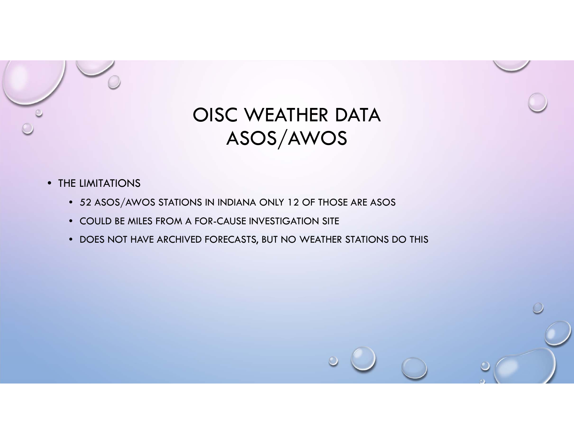

- THE LIMITATIONS
	- 52 ASOS/AWOS STATIONS IN INDIANA ONLY 12 OF THOSE ARE ASOS
	- COULD BE MILES FROM A FOR-CAUSE INVESTIGATION SITE
	- DOES NOT HAVE ARCHIVED FORECASTS, BUT NO WEATHER STATIONS DO THIS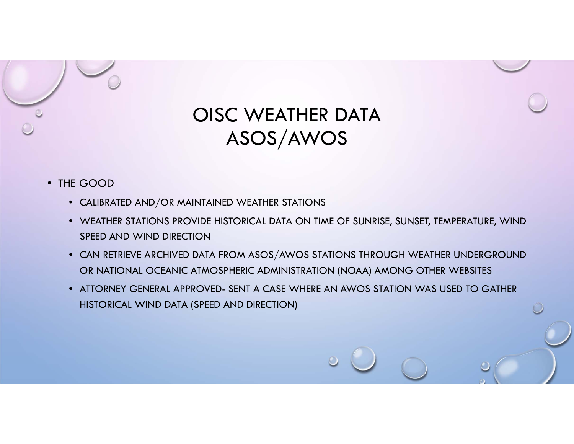

- THE GOOD
	- CALIBRATED AND/OR MAINTAINED WEATHER STATIONS
	- WEATHER STATIONS PROVIDE HISTORICAL DATA ON TIME OF SUNRISE, SUNSET, TEMPERATURE, WIND SPEED AND WIND DIRECTION
	- CAN RETRIEVE ARCHIVED DATA FROM ASOS/AWOS STATIONS THROUGH WEATHER UNDERGROUND OR NATIONAL OCEANIC ATMOSPHERIC ADMINISTRATION (NOAA) AMONG OTHER WEBSITES
	- ATTORNEY GENERAL APPROVED- SENT A CASE WHERE AN AWOS STATION WAS USED TO GATHER HISTORICAL WIND DATA (SPEED AND DIRECTION)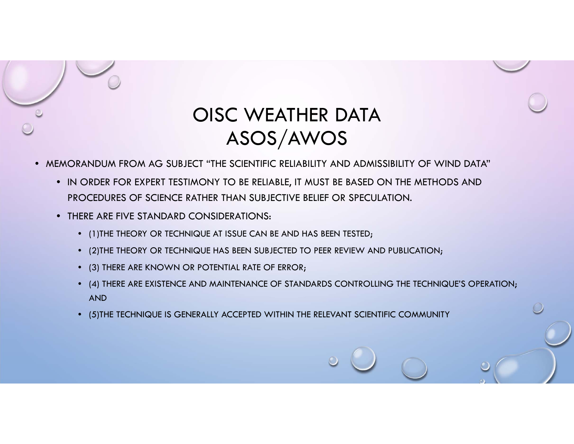

- MEMORANDUM FROM AG SUBJECT "THE SCIENTIFIC RELIABILITY AND ADMISSIBILITY OF WIND DATA"
	- IN ORDER FOR EXPERT TESTIMONY TO BE RELIABLE, IT MUST BE BASED ON THE METHODS AND PROCEDURES OF SCIENCE RATHER THAN SUBJECTIVE BELIEF OR SPECULATION.
	- THERE ARE FIVE STANDARD CONSIDERATIONS:
		- (1)THE THEORY OR TECHNIQUE AT ISSUE CAN BE AND HAS BEEN TESTED;
		- (2)THE THEORY OR TECHNIQUE HAS BEEN SUBJECTED TO PEER REVIEW AND PUBLICATION;
		- (3) THERE ARE KNOWN OR POTENTIAL RATE OF ERROR;
		- (4) THERE ARE EXISTENCE AND MAINTENANCE OF STANDARDS CONTROLLING THE TECHNIQUE'S OPERATION; AND
		- (5)THE TECHNIQUE IS GENERALLY ACCEPTED WITHIN THE RELEVANT SCIENTIFIC COMMUNITY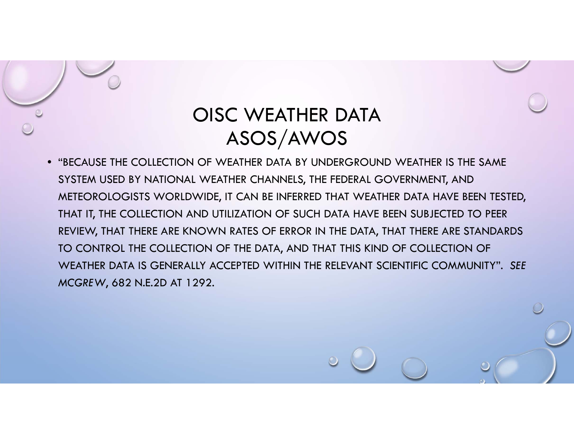• "BECAUSE THE COLLECTION OF WEATHER DATA BY UNDERGROUND WEATHER IS THE SAME SYSTEM USED BY NATIONAL WEATHER CHANNELS, THE FEDERAL GOVERNMENT, AND METEOROLOGISTS WORLDWIDE, IT CAN BE INFERRED THAT WEATHER DATA HAVE BEEN TESTED, THAT IT, THE COLLECTION AND UTILIZATION OF SUCH DATA HAVE BEEN SUBJECTED TO PEER REVIEW, THAT THERE ARE KNOWN RATES OF ERROR IN THE DATA, THAT THERE ARE STANDARDS TO CONTROL THE COLLECTION OF THE DATA, AND THAT THIS KIND OF COLLECTION OF WEATHER DATA IS GENERALLY ACCEPTED WITHIN THE RELEVANT SCIENTIFIC COMMUNITY". *SEE MCGREW*, 682 N.E.2D AT 1292.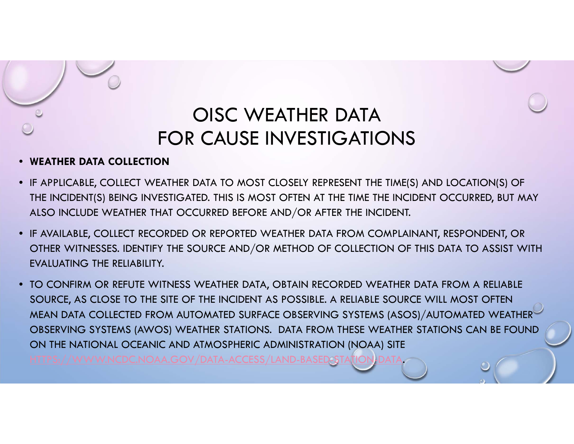# OISC WEATHER DATAFOR CAUSE INVESTIGATIONS

#### •**WEATHER DATA COLLECTION**

- IF APPLICABLE, COLLECT WEATHER DATA TO MOST CLOSELY REPRESENT THE TIME(S) AND LOCATION(S) OF THE INCIDENT(S) BEING INVESTIGATED. THIS IS MOST OFTEN AT THE TIME THE INCIDENT OCCURRED, BUT MAY ALSO INCLUDE WEATHER THAT OCCURRED BEFORE AND/OR AFTER THE INCIDENT.
- IF AVAILABLE, COLLECT RECORDED OR REPORTED WEATHER DATA FROM COMPLAINANT, RESPONDENT, OR OTHER WITNESSES. IDENTIFY THE SOURCE AND/OR METHOD OF COLLECTION OF THIS DATA TO ASSIST WITH EVALUATING THE RELIABILITY.
- TO CONFIRM OR REFUTE WITNESS WEATHER DATA, OBTAIN RECORDED WEATHER DATA FROM A RELIABLE SOURCE, AS CLOSE TO THE SITE OF THE INCIDENT AS POSSIBLE. A RELIABLE SOURCE WILL MOST OFTEN MEAN DATA COLLECTED FROM AUTOMATED SURFACE OBSERVING SYSTEMS (ASOS)/AUTOMATED WEATHER OBSERVING SYSTEMS (AWOS) WEATHER STATIONS. DATA FROM THESE WEATHER STATIONS CAN BE FOUND ON THE NATIONAL OCEANIC AND ATMOSPHERIC ADMINISTRATION (NOAA) SITE **GOV/DATA-ACCESS/LAND-BASED-STATION**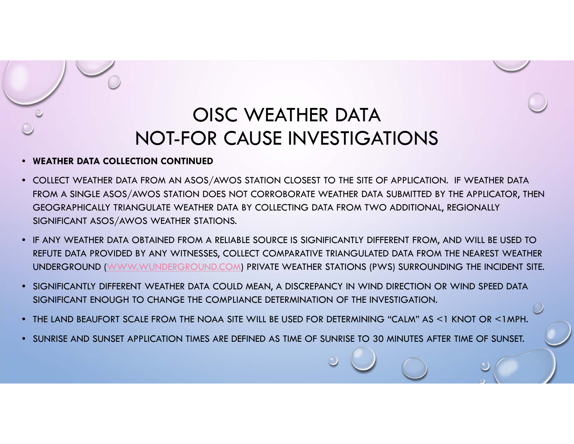### OISC WEATHER DATANOT-FOR CAUSE INVESTIGATIONS

#### •**WEATHER DATA COLLECTION CONTINUED**

- COLLECT WEATHER DATA FROM AN ASOS/AWOS STATION CLOSEST TO THE SITE OF APPLICATION. IF WEATHER DATA FROM A SINGLE ASOS/AWOS STATION DOES NOT CORROBORATE WEATHER DATA SUBMITTED BY THE APPLICATOR, THEN GEOGRAPHICALLY TRIANGULATE WEATHER DATA BY COLLECTING DATA FROM TWO ADDITIONAL, REGIONALLY SIGNIFICANT ASOS/AWOS WEATHER STATIONS.
- IF ANY WEATHER DATA OBTAINED FROM A RELIABLE SOURCE IS SIGNIFICANTLY DIFFERENT FROM, AND WILL BE USED TO REFUTE DATA PROVIDED BY ANY WITNESSES, COLLECT COMPARATIVE TRIANGULATED DATA FROM THE NEAREST WEATHER UNDERGROUND (WWW.WUNDERGROUND.COM) PRIVATE WEATHER STATIONS (PWS) SURROUNDING THE INCIDENT SITE.
- SIGNIFICANTLY DIFFERENT WEATHER DATA COULD MEAN, A DISCREPANCY IN WIND DIRECTION OR WIND SPEED DATA SIGNIFICANT ENOUGH TO CHANGE THE COMPLIANCE DETERMINATION OF THE INVESTIGATION.
- THE LAND BEAUFORT SCALE FROM THE NOAA SITE WILL BE USED FOR DETERMINING "CALM" AS <1 KNOT OR <1MPH.
- SUNRISE AND SUNSET APPLICATION TIMES ARE DEFINED AS TIME OF SUNRISE TO 30 MINUTES AFTER TIME OF SUNSET.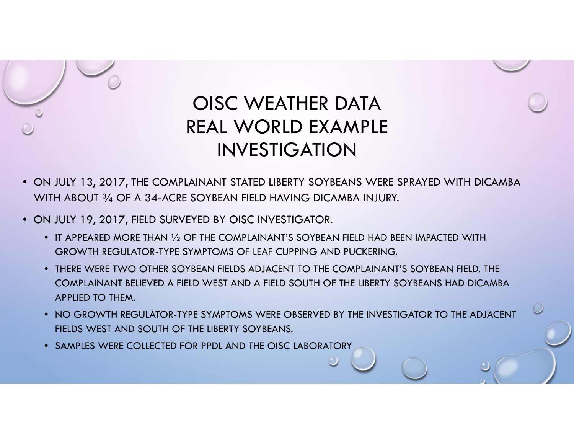

# OISC WEATHER DATAREAL WORLD EXAMPLE INVESTIGATION

- ON JULY 13, 2017, THE COMPLAINANT STATED LIBERTY SOYBEANS WERE SPRAYED WITH DICAMBA WITH ABOUT 3/4 OF A 34-ACRE SOYBEAN FIELD HAVING DICAMBA INJURY.
- ON JULY 19, 2017, FIELD SURVEYED BY OISC INVESTIGATOR.
	- $\bullet$  IT APPEARED MORE THAN  $\mathcal{V}_2$  OF THE COMPLAINANT'S SOYBEAN FIELD HAD BEEN IMPACTED WITH GROWTH REGULATOR-TYPE SYMPTOMS OF LEAF CUPPING AND PUCKERING.
	- THERE WERE TWO OTHER SOYBEAN FIELDS ADJACENT TO THE COMPLAINANT'S SOYBEAN FIELD. THE COMPLAINANT BELIEVED A FIELD WEST AND A FIELD SOUTH OF THE LIBERTY SOYBEANS HAD DICAMBAAPPLIED TO THEM.
	- NO GROWTH REGULATOR-TYPE SYMPTOMS WERE OBSERVED BY THE INVESTIGATOR TO THE ADJACENT FIELDS WEST AND SOUTH OF THE LIBERTY SOYBEANS.
	- •SAMPLES WERE COLLECTED FOR PPDL AND THE OISC LABORATORY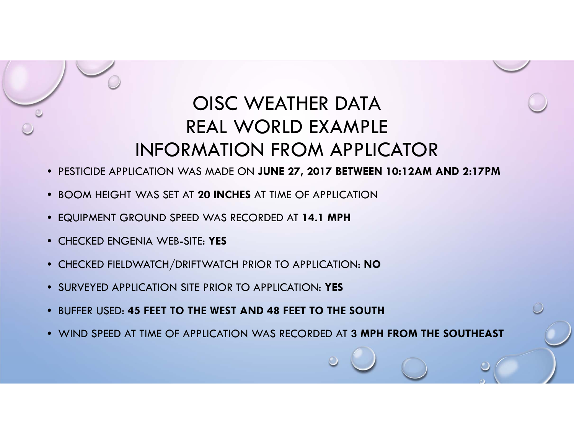# OISC WEATHER DATAREAL WORLD EXAMPLE INFORMATION FROM APPLICATOR

- PESTICIDE APPLICATION WAS MADE ON **JUNE 27, 2017 BETWEEN 10:12AM AND 2:17PM**
- BOOM HEIGHT WAS SET AT **20 INCHES** AT TIME OF APPLICATION
- EQUIPMENT GROUND SPEED WAS RECORDED AT **14.1 MPH**
- CHECKED ENGENIA WEB-SITE: **YES**
- CHECKED FIELDWATCH/DRIFTWATCH PRIOR TO APPLICATION: **NO**
- SURVEYED APPLICATION SITE PRIOR TO APPLICATION: **YES**
- BUFFER USED: **45 FEET TO THE WEST AND 48 FEET TO THE SOUTH**
- WIND SPEED AT TIME OF APPLICATION WAS RECORDED AT **3 MPH FROM THE SOUTHEAST**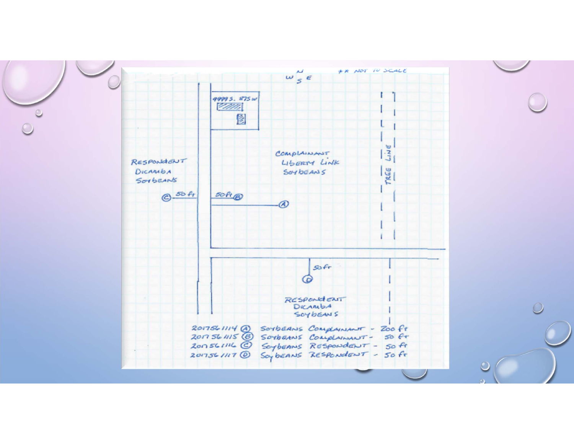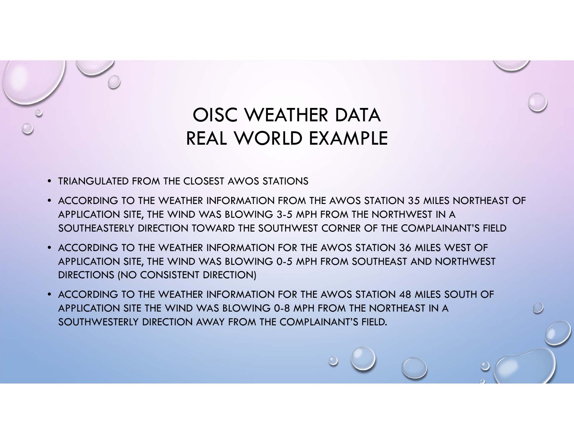

- TRIANGULATED FROM THE CLOSEST AWOS STATIONS
- ACCORDING TO THE WEATHER INFORMATION FROM THE AWOS STATION 35 MILES NORTHEAST OF APPLICATION SITE, THE WIND WAS BLOWING 3-5 MPH FROM THE NORTHWEST IN A SOUTHEASTERLY DIRECTION TOWARD THE SOUTHWEST CORNER OF THE COMPLAINANT'S FIELD
- ACCORDING TO THE WEATHER INFORMATION FOR THE AWOS STATION 36 MILES WEST OF APPLICATION SITE, THE WIND WAS BLOWING 0-5 MPH FROM SOUTHEAST AND NORTHWEST DIRECTIONS (NO CONSISTENT DIRECTION)
- ACCORDING TO THE WEATHER INFORMATION FOR THE AWOS STATION 48 MILES SOUTH OF APPLICATION SITE THE WIND WAS BLOWING 0-8 MPH FROM THE NORTHEAST IN A SOUTHWESTERLY DIRECTION AWAY FROM THE COMPLAINANT'S FIELD.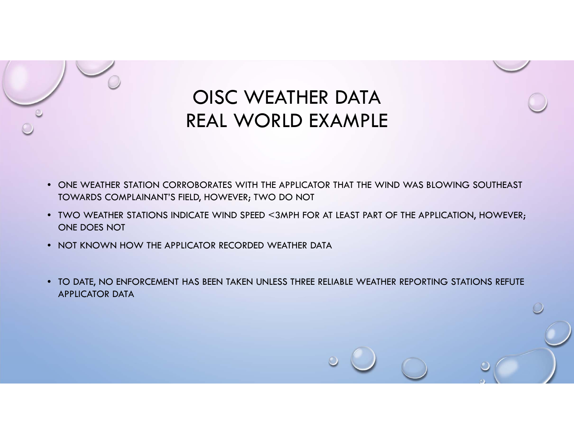

# OISC WEATHER DATA REAL WORLD EXAMPLE

- ONE WEATHER STATION CORROBORATES WITH THE APPLICATOR THAT THE WIND WAS BLOWING SOUTHEAST TOWARDS COMPLAINANT'S FIELD, HOWEVER; TWO DO NOT
- TWO WEATHER STATIONS INDICATE WIND SPEED <3MPH FOR AT LEAST PART OF THE APPLICATION, HOWEVER; ONE DOES NOT
- NOT KNOWN HOW THE APPLICATOR RECORDED WEATHER DATA
- TO DATE, NO ENFORCEMENT HAS BEEN TAKEN UNLESS THREE RELIABLE WEATHER REPORTING STATIONS REFUTE APPLICATOR DATA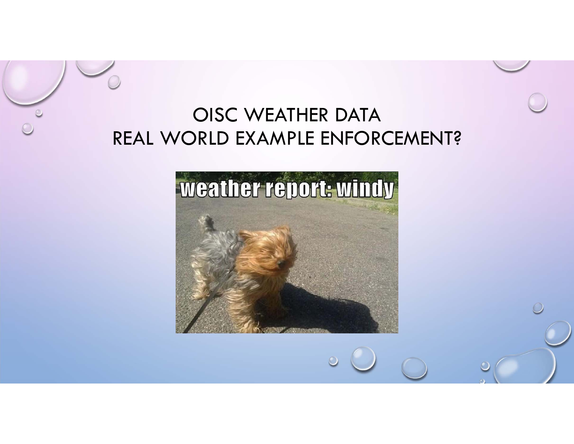## OISC WEATHER DATA REAL WORLD EXAMPLE ENFORCEMENT?

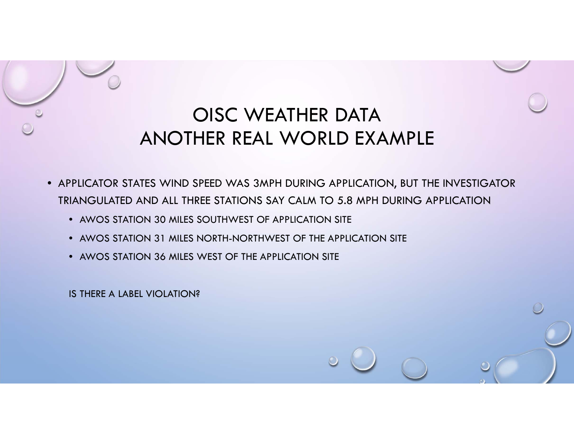# OISC WEATHER DATAANOTHER REAL WORLD EXAMPLE

- APPLICATOR STATES WIND SPEED WAS 3MPH DURING APPLICATION, BUT THE INVESTIGATOR TRIANGULATED AND ALL THREE STATIONS SAY CALM TO 5.8 MPH DURING APPLICATION
	- AWOS STATION 30 MILES SOUTHWEST OF APPLICATION SITE
	- AWOS STATION 31 MILES NORTH-NORTHWEST OF THE APPLICATION SITE
	- AWOS STATION 36 MILES WEST OF THE APPLICATION SITE

IS THERE A LABEL VIOLATION?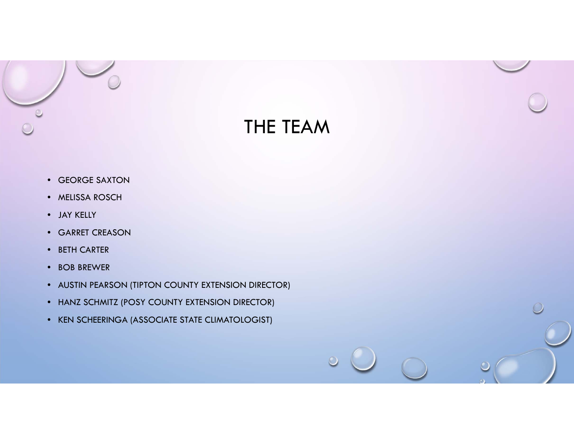

# THE TEAM

- GEORGE SAXTON
- MELISSA ROSCH
- JAY KELLY
- GARRET CREASON
- BETH CARTER
- BOB BREWER
- AUSTIN PEARSON (TIPTON COUNTY EXTENSION DIRECTOR)
- HANZ SCHMITZ (POSY COUNTY EXTENSION DIRECTOR)
- KEN SCHEERINGA (ASSOCIATE STATE CLIMATOLOGIST)